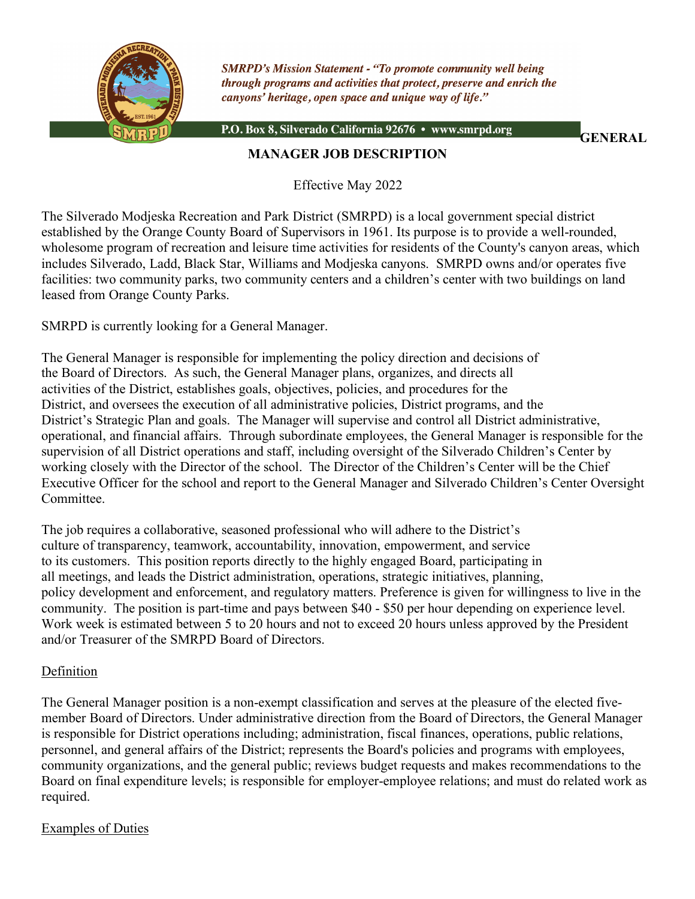

**SMRPD's Mission Statement - "To promote community well being** through programs and activities that protect, preserve and enrich the canyons' heritage, open space and unique way of life."

P.O. Box 8, Silverado California 92676 · www.smrpd.org

**GENERAL** 

### **MANAGER JOB DESCRIPTION**

Effective May 2022

The Silverado Modjeska Recreation and Park District (SMRPD) is a local government special district established by the Orange County Board of Supervisors in 1961. Its purpose is to provide a well-rounded, wholesome program of recreation and leisure time activities for residents of the County's canyon areas, which includes Silverado, Ladd, Black Star, Williams and Modjeska canyons. SMRPD owns and/or operates five facilities: two community parks, two community centers and a children's center with two buildings on land leased from Orange County Parks.

SMRPD is currently looking for a General Manager.

The General Manager is responsible for implementing the policy direction and decisions of the Board of Directors. As such, the General Manager plans, organizes, and directs all activities of the District, establishes goals, objectives, policies, and procedures for the District, and oversees the execution of all administrative policies, District programs, and the District's Strategic Plan and goals. The Manager will supervise and control all District administrative, operational, and financial affairs. Through subordinate employees, the General Manager is responsible for the supervision of all District operations and staff, including oversight of the Silverado Children's Center by working closely with the Director of the school. The Director of the Children's Center will be the Chief Executive Officer for the school and report to the General Manager and Silverado Children's Center Oversight Committee.

The job requires a collaborative, seasoned professional who will adhere to the District's culture of transparency, teamwork, accountability, innovation, empowerment, and service to its customers. This position reports directly to the highly engaged Board, participating in all meetings, and leads the District administration, operations, strategic initiatives, planning, policy development and enforcement, and regulatory matters. Preference is given for willingness to live in the community. The position is part-time and pays between \$40 - \$50 per hour depending on experience level. Work week is estimated between 5 to 20 hours and not to exceed 20 hours unless approved by the President and/or Treasurer of the SMRPD Board of Directors.

#### Definition

The General Manager position is a non-exempt classification and serves at the pleasure of the elected fivemember Board of Directors. Under administrative direction from the Board of Directors, the General Manager is responsible for District operations including; administration, fiscal finances, operations, public relations, personnel, and general affairs of the District; represents the Board's policies and programs with employees, community organizations, and the general public; reviews budget requests and makes recommendations to the Board on final expenditure levels; is responsible for employer-employee relations; and must do related work as required.

### Examples of Duties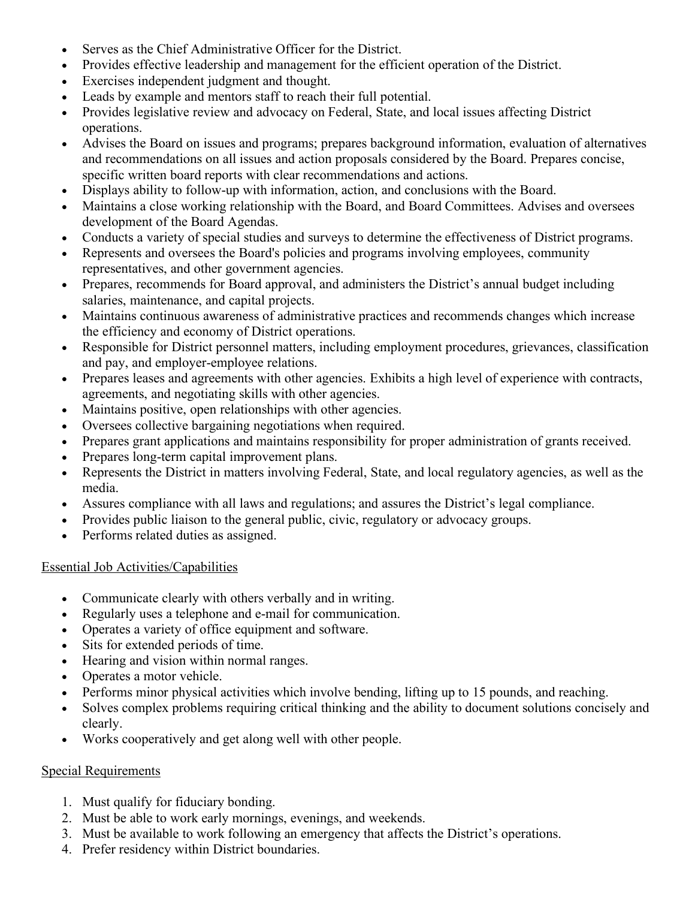- Serves as the Chief Administrative Officer for the District.
- Provides effective leadership and management for the efficient operation of the District.
- Exercises independent judgment and thought.
- Leads by example and mentors staff to reach their full potential.
- Provides legislative review and advocacy on Federal, State, and local issues affecting District operations.
- Advises the Board on issues and programs; prepares background information, evaluation of alternatives and recommendations on all issues and action proposals considered by the Board. Prepares concise, specific written board reports with clear recommendations and actions.
- Displays ability to follow-up with information, action, and conclusions with the Board.
- Maintains a close working relationship with the Board, and Board Committees. Advises and oversees development of the Board Agendas.
- Conducts a variety of special studies and surveys to determine the effectiveness of District programs.
- Represents and oversees the Board's policies and programs involving employees, community representatives, and other government agencies.
- Prepares, recommends for Board approval, and administers the District's annual budget including salaries, maintenance, and capital projects.
- Maintains continuous awareness of administrative practices and recommends changes which increase the efficiency and economy of District operations.
- Responsible for District personnel matters, including employment procedures, grievances, classification and pay, and employer-employee relations.
- Prepares leases and agreements with other agencies. Exhibits a high level of experience with contracts, agreements, and negotiating skills with other agencies.
- Maintains positive, open relationships with other agencies.
- Oversees collective bargaining negotiations when required.
- Prepares grant applications and maintains responsibility for proper administration of grants received.
- Prepares long-term capital improvement plans.
- Represents the District in matters involving Federal, State, and local regulatory agencies, as well as the media.
- Assures compliance with all laws and regulations; and assures the District's legal compliance.
- Provides public liaison to the general public, civic, regulatory or advocacy groups.
- Performs related duties as assigned.

### Essential Job Activities/Capabilities

- Communicate clearly with others verbally and in writing.
- Regularly uses a telephone and e-mail for communication.
- Operates a variety of office equipment and software.
- Sits for extended periods of time.
- Hearing and vision within normal ranges.
- Operates a motor vehicle.
- Performs minor physical activities which involve bending, lifting up to 15 pounds, and reaching.
- Solves complex problems requiring critical thinking and the ability to document solutions concisely and clearly.
- Works cooperatively and get along well with other people.

### Special Requirements

- 1. Must qualify for fiduciary bonding.
- 2. Must be able to work early mornings, evenings, and weekends.
- 3. Must be available to work following an emergency that affects the District's operations.
- 4. Prefer residency within District boundaries.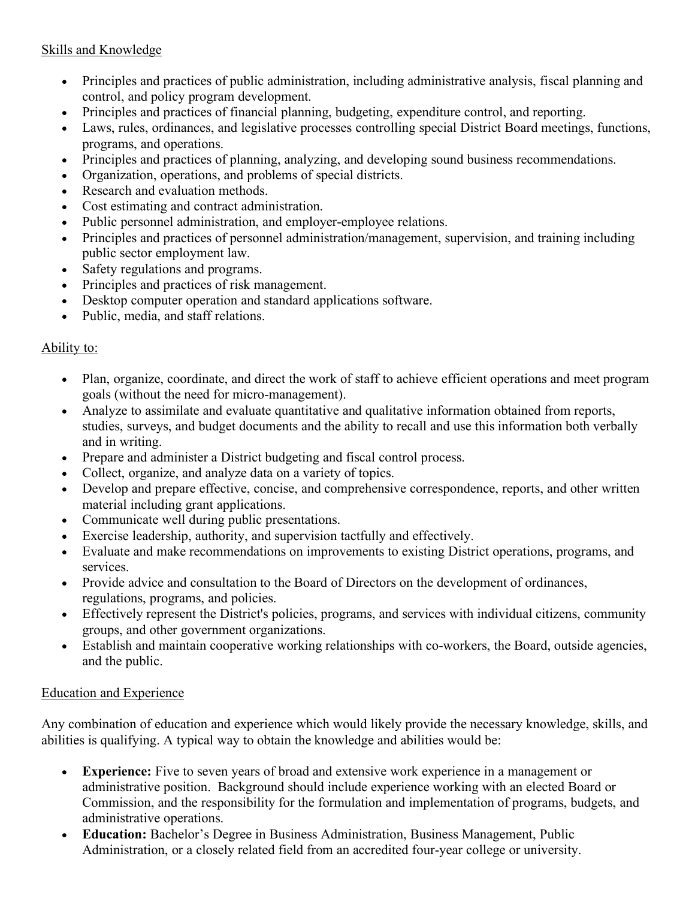# Skills and Knowledge

- Principles and practices of public administration, including administrative analysis, fiscal planning and control, and policy program development.
- Principles and practices of financial planning, budgeting, expenditure control, and reporting.
- Laws, rules, ordinances, and legislative processes controlling special District Board meetings, functions, programs, and operations.
- Principles and practices of planning, analyzing, and developing sound business recommendations.
- Organization, operations, and problems of special districts.
- Research and evaluation methods.
- Cost estimating and contract administration.
- Public personnel administration, and employer-employee relations.
- Principles and practices of personnel administration/management, supervision, and training including public sector employment law.
- Safety regulations and programs.
- Principles and practices of risk management.
- Desktop computer operation and standard applications software.
- Public, media, and staff relations.

### Ability to:

- Plan, organize, coordinate, and direct the work of staff to achieve efficient operations and meet program goals (without the need for micro-management).
- Analyze to assimilate and evaluate quantitative and qualitative information obtained from reports, studies, surveys, and budget documents and the ability to recall and use this information both verbally and in writing.
- Prepare and administer a District budgeting and fiscal control process.
- Collect, organize, and analyze data on a variety of topics.
- Develop and prepare effective, concise, and comprehensive correspondence, reports, and other written material including grant applications.
- Communicate well during public presentations.
- Exercise leadership, authority, and supervision tactfully and effectively.
- Evaluate and make recommendations on improvements to existing District operations, programs, and services.
- Provide advice and consultation to the Board of Directors on the development of ordinances, regulations, programs, and policies.
- Effectively represent the District's policies, programs, and services with individual citizens, community groups, and other government organizations.
- Establish and maintain cooperative working relationships with co-workers, the Board, outside agencies, and the public.

# Education and Experience

Any combination of education and experience which would likely provide the necessary knowledge, skills, and abilities is qualifying. A typical way to obtain the knowledge and abilities would be:

- **Experience:** Five to seven years of broad and extensive work experience in a management or administrative position. Background should include experience working with an elected Board or Commission, and the responsibility for the formulation and implementation of programs, budgets, and administrative operations.
- **Education:** Bachelor's Degree in Business Administration, Business Management, Public Administration, or a closely related field from an accredited four-year college or university.